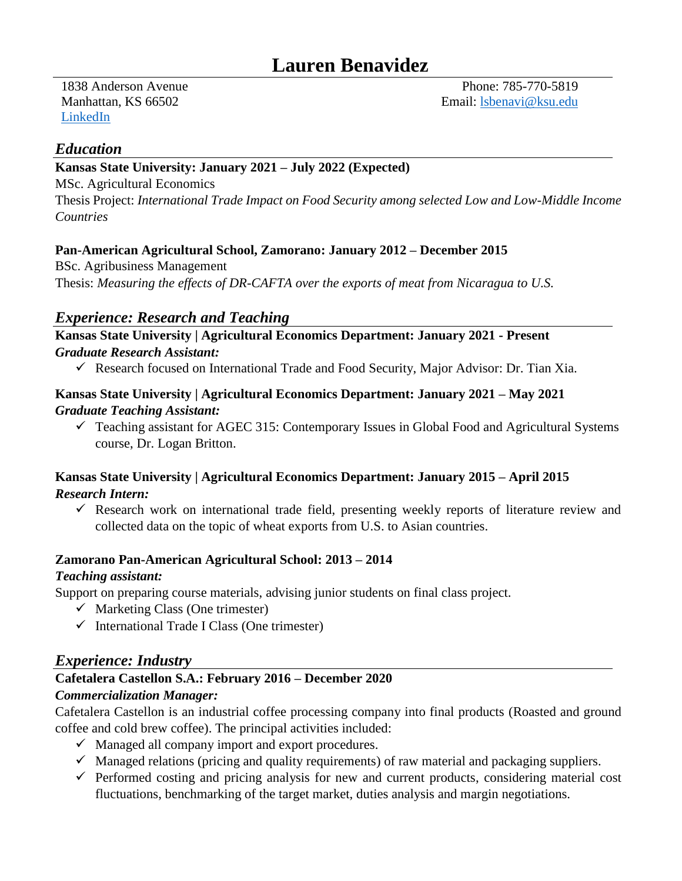1838 Anderson Avenue Manhattan, KS 66502 [LinkedIn](https://www.linkedin.com/in/lauren-benavidez-68542a93/)

Phone: 785-770-5819 Email: [lsbenavi@ksu.edu](mailto:lsbenavi@ksu.edu)

### *Education*

### **Kansas State University: January 2021 – July 2022 (Expected)**

MSc. Agricultural Economics

Thesis Project: *International Trade Impact on Food Security among selected Low and Low-Middle Income Countries*

### **Pan-American Agricultural School, Zamorano: January 2012 – December 2015**

BSc. Agribusiness Management Thesis: *Measuring the effects of DR-CAFTA over the exports of meat from Nicaragua to U.S.*

### *Experience: Research and Teaching*

### **Kansas State University | Agricultural Economics Department: January 2021 - Present** *Graduate Research Assistant:*

Research focused on International Trade and Food Security, Major Advisor: Dr. Tian Xia.

### **Kansas State University | Agricultural Economics Department: January 2021 – May 2021** *Graduate Teaching Assistant:*

 $\checkmark$  Teaching assistant for AGEC 315: Contemporary Issues in Global Food and Agricultural Systems course, Dr. Logan Britton.

### **Kansas State University | Agricultural Economics Department: January 2015 – April 2015** *Research Intern:*

 $\checkmark$  Research work on international trade field, presenting weekly reports of literature review and collected data on the topic of wheat exports from U.S. to Asian countries.

### **Zamorano Pan-American Agricultural School: 2013 – 2014**

### *Teaching assistant:*

Support on preparing course materials, advising junior students on final class project.

- $\checkmark$  Marketing Class (One trimester)
- $\checkmark$  International Trade I Class (One trimester)

### *Experience: Industry*

# **Cafetalera Castellon S.A.: February 2016 – December 2020**

### *Commercialization Manager:*

Cafetalera Castellon is an industrial coffee processing company into final products (Roasted and ground coffee and cold brew coffee). The principal activities included:

- $\checkmark$  Managed all company import and export procedures.
- $\checkmark$  Managed relations (pricing and quality requirements) of raw material and packaging suppliers.
- $\checkmark$  Performed costing and pricing analysis for new and current products, considering material cost fluctuations, benchmarking of the target market, duties analysis and margin negotiations.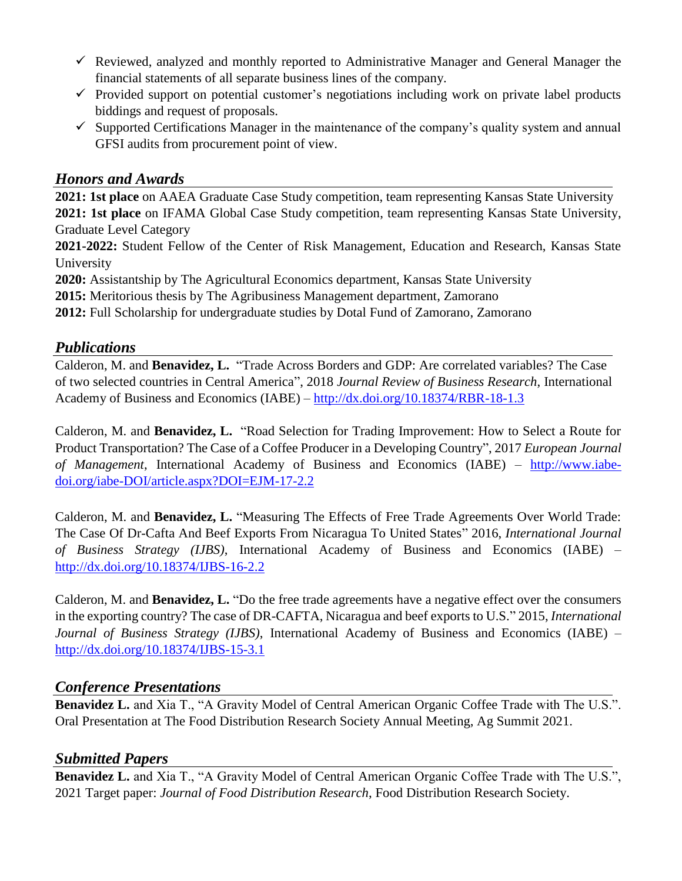- $\checkmark$  Reviewed, analyzed and monthly reported to Administrative Manager and General Manager the financial statements of all separate business lines of the company.
- $\checkmark$  Provided support on potential customer's negotiations including work on private label products biddings and request of proposals.
- $\checkmark$  Supported Certifications Manager in the maintenance of the company's quality system and annual GFSI audits from procurement point of view.

## *Honors and Awards*

**2021: 1st place** on AAEA Graduate Case Study competition, team representing Kansas State University **2021: 1st place** on IFAMA Global Case Study competition, team representing Kansas State University, Graduate Level Category

**2021-2022:** Student Fellow of the Center of Risk Management, Education and Research, Kansas State University

**2020:** Assistantship by The Agricultural Economics department, Kansas State University

**2015:** Meritorious thesis by The Agribusiness Management department, Zamorano

**2012:** Full Scholarship for undergraduate studies by Dotal Fund of Zamorano, Zamorano

### *Publications*

Calderon, M. and **Benavidez, L.** "Trade Across Borders and GDP: Are correlated variables? The Case of two selected countries in Central America", 2018 *Journal Review of Business Research*, International Academy of Business and Economics (IABE) – <http://dx.doi.org/10.18374/RBR-18-1.3>

Calderon, M. and **Benavidez, L.** "Road Selection for Trading Improvement: How to Select a Route for Product Transportation? The Case of a Coffee Producer in a Developing Country", 2017 *European Journal of Management*, International Academy of Business and Economics (IABE) – [http://www.iabe](http://www.iabe-doi.org/iabe-DOI/article.aspx?DOI=EJM-17-2.2)[doi.org/iabe-DOI/article.aspx?DOI=EJM-17-2.2](http://www.iabe-doi.org/iabe-DOI/article.aspx?DOI=EJM-17-2.2)

Calderon, M. and **Benavidez, L.** "Measuring The Effects of Free Trade Agreements Over World Trade: The Case Of Dr-Cafta And Beef Exports From Nicaragua To United States" 2016, *International Journal of Business Strategy (IJBS)*, International Academy of Business and Economics (IABE) – <http://dx.doi.org/10.18374/IJBS-16-2.2>

Calderon, M. and **Benavidez, L.** "Do the free trade agreements have a negative effect over the consumers in the exporting country? The case of DR-CAFTA, Nicaragua and beef exports to U.S." 2015, *International Journal of Business Strategy (IJBS)*, International Academy of Business and Economics (IABE) – <http://dx.doi.org/10.18374/IJBS-15-3.1>

### *Conference Presentations*

**Benavidez L.** and Xia T., "A Gravity Model of Central American Organic Coffee Trade with The U.S.". Oral Presentation at The Food Distribution Research Society Annual Meeting, Ag Summit 2021.

### *Submitted Papers*

**Benavidez L.** and Xia T., "A Gravity Model of Central American Organic Coffee Trade with The U.S.", 2021 Target paper: *Journal of Food Distribution Research*, Food Distribution Research Society.